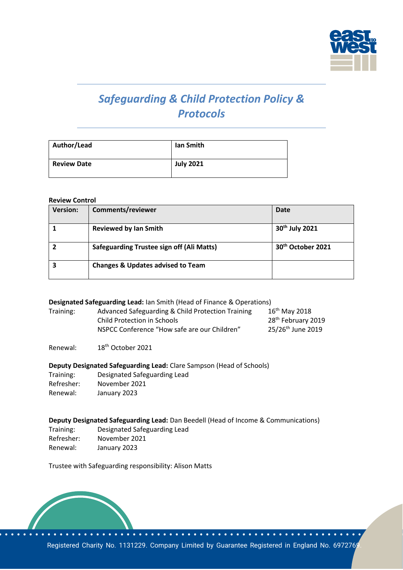

# *Safeguarding & Child Protection Policy & Protocols*

| Author/Lead        | lan Smith        |
|--------------------|------------------|
| <b>Review Date</b> | <b>July 2021</b> |

#### **Review Control**

| <b>Version:</b> | Comments/reviewer                                | Date                          |
|-----------------|--------------------------------------------------|-------------------------------|
|                 | <b>Reviewed by Ian Smith</b>                     | 30 <sup>th</sup> July 2021    |
|                 | <b>Safeguarding Trustee sign off (Ali Matts)</b> | 30 <sup>th</sup> October 2021 |
|                 | <b>Changes &amp; Updates advised to Team</b>     |                               |

#### **Designated Safeguarding Lead:** Ian Smith (Head of Finance & Operations)

| Training: | Advanced Safeguarding & Child Protection Training | $16th$ May 2018                |
|-----------|---------------------------------------------------|--------------------------------|
|           | Child Protection in Schools                       | 28 <sup>th</sup> February 2019 |
|           | NSPCC Conference "How safe are our Children"      | 25/26 <sup>th</sup> June 2019  |

Renewal: 18th October 2021

#### **Deputy Designated Safeguarding Lead:** Clare Sampson (Head of Schools)

| Training:  | Designated Safeguarding Lead |
|------------|------------------------------|
| Refresher: | November 2021                |
| Renewal:   | January 2023                 |

# **Deputy Designated Safeguarding Lead:** Dan Beedell (Head of Income & Communications)

Training: Designated Safeguarding Lead Refresher: November 2021 Renewal: January 2023

Trustee with Safeguarding responsibility: Alison Matts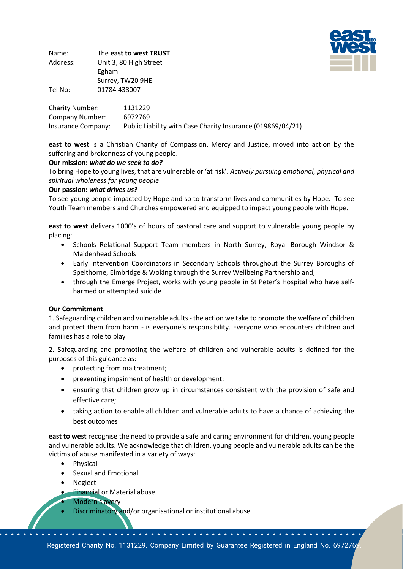

Name: The **east to west TRUST** Address: Unit 3, 80 High Street Egham Surrey, TW20 9HE Tel No: 01784 438007

Charity Number: 1131229 Company Number: 6972769 Insurance Company: Public Liability with Case Charity Insurance (019869/04/21)

**east to west** is a Christian Charity of Compassion, Mercy and Justice, moved into action by the suffering and brokenness of young people.

# **Our mission:** *what do we seek to do?*

To bring Hope to young lives, that are vulnerable or 'at risk'. *Actively pursuing emotional, physical and spiritual wholeness for young people* 

#### **Our passion:** *what drives us?*

To see young people impacted by Hope and so to transform lives and communities by Hope. To see Youth Team members and Churches empowered and equipped to impact young people with Hope.

**east to west** delivers 1000's of hours of pastoral care and support to vulnerable young people by placing:

- Schools Relational Support Team members in North Surrey, Royal Borough Windsor & Maidenhead Schools
- Early Intervention Coordinators in Secondary Schools throughout the Surrey Boroughs of Spelthorne, Elmbridge & Woking through the Surrey Wellbeing Partnership and,
- through the Emerge Project, works with young people in St Peter's Hospital who have selfharmed or attempted suicide

#### **Our Commitment**

1. Safeguarding children and vulnerable adults - the action we take to promote the welfare of children and protect them from harm - is everyone's responsibility. Everyone who encounters children and families has a role to play

2. Safeguarding and promoting the welfare of children and vulnerable adults is defined for the purposes of this guidance as:

- protecting from maltreatment;
- preventing impairment of health or development;
- ensuring that children grow up in circumstances consistent with the provision of safe and effective care;
- taking action to enable all children and vulnerable adults to have a chance of achieving the best outcomes

**east to west** recognise the need to provide a safe and caring environment for children, young people and vulnerable adults. We acknowledge that children, young people and vulnerable adults can be the victims of abuse manifested in a variety of ways:

- Physical
- Sexual and Emotional
- Neglect
- **Financial or Material abuse**
- Modern slavery
- Discriminatory and/or organisational or institutional abuse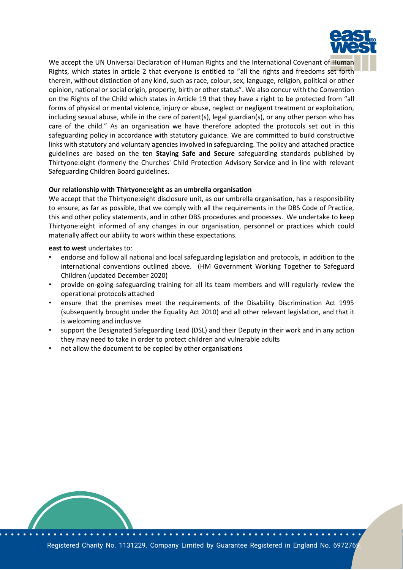

We accept the UN Universal Declaration of Human Rights and the International Covenant of Human Rights, which states in article 2 that everyone is entitled to "all the rights and freedoms set forth therein, without distinction of any kind, such as race, colour, sex, language, religion, political or other opinion, national or social origin, property, birth or other status". We also concur with the Convention on the Rights of the Child which states in Article 19 that they have a right to be protected from "all forms of physical or mental violence, injury or abuse, neglect or negligent treatment or exploitation, including sexual abuse, while in the care of parent(s), legal guardian(s), or any other person who has care of the child." As an organisation we have therefore adopted the protocols set out in this safeguarding policy in accordance with statutory guidance. We are committed to build constructive links with statutory and voluntary agencies involved in safeguarding. The policy and attached practice guidelines are based on the ten **Staying Safe and Secure** safeguarding standards published by Thirtyone:eight (formerly the Churches' Child Protection Advisory Service and in line with relevant Safeguarding Children Board guidelines.

#### **Our relationship with Thirtyone:eight as an umbrella organisation**

We accept that the Thirtyone:eight disclosure unit, as our umbrella organisation, has a responsibility to ensure, as far as possible, that we comply with all the requirements in the DBS Code of Practice, this and other policy statements, and in other DBS procedures and processes. We undertake to keep Thirtyone:eight informed of any changes in our organisation, personnel or practices which could materially affect our ability to work within these expectations.

#### **east to west** undertakes to:

- endorse and follow all national and local safeguarding legislation and protocols, in addition to the international conventions outlined above. (HM Government Working Together to Safeguard Children (updated December 2020)
- provide on-going safeguarding training for all its team members and will regularly review the operational protocols attached
- ensure that the premises meet the requirements of the Disability Discrimination Act 1995 (subsequently brought under the Equality Act 2010) and all other relevant legislation, and that it is welcoming and inclusive
- support the Designated Safeguarding Lead (DSL) and their Deputy in their work and in any action they may need to take in order to protect children and vulnerable adults
- not allow the document to be copied by other organisations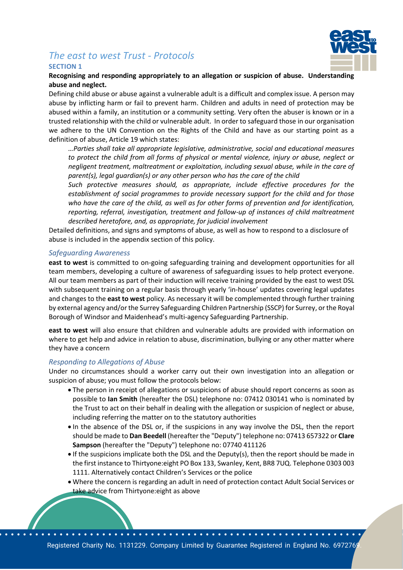# *The east to west Trust - Protocols* **SECTION 1**



**Recognising and responding appropriately to an allegation or suspicion of abuse. Understanding abuse and neglect.**

Defining child abuse or abuse against a vulnerable adult is a difficult and complex issue. A person may abuse by inflicting harm or fail to prevent harm. Children and adults in need of protection may be abused within a family, an institution or a community setting. Very often the abuser is known or in a trusted relationship with the child or vulnerable adult. In order to safeguard those in our organisation we adhere to the UN Convention on the Rights of the Child and have as our starting point as a definition of abuse, Article 19 which states:

*…Parties shall take all appropriate legislative, administrative, social and educational measures to protect the child from all forms of physical or mental violence, injury or abuse, neglect or negligent treatment, maltreatment or exploitation, including sexual abuse, while in the care of parent(s), legal guardian(s) or any other person who has the care of the child*

*Such protective measures should, as appropriate, include effective procedures for the establishment of social programmes to provide necessary support for the child and for those who have the care of the child, as well as for other forms of prevention and for identification, reporting, referral, investigation, treatment and follow-up of instances of child maltreatment described heretofore, and, as appropriate, for judicial involvement*

Detailed definitions, and signs and symptoms of abuse, as well as how to respond to a disclosure of abuse is included in the appendix section of this policy.

#### *Safeguarding Awareness*

**east to west** is committed to on-going safeguarding training and development opportunities for all team members, developing a culture of awareness of safeguarding issues to help protect everyone. All our team members as part of their induction will receive training provided by the east to west DSL with subsequent training on a regular basis through yearly 'in-house' updates covering legal updates and changes to the **east to west** policy. As necessary it will be complemented through further training by external agency and/or the Surrey Safeguarding Children Partnership (SSCP) for Surrey, or the Royal Borough of Windsor and Maidenhead's multi-agency Safeguarding Partnership.

**east to west** will also ensure that children and vulnerable adults are provided with information on where to get help and advice in relation to abuse, discrimination, bullying or any other matter where they have a concern

#### *Responding to Allegations of Abuse*

Under no circumstances should a worker carry out their own investigation into an allegation or suspicion of abuse; you must follow the protocols below:

- The person in receipt of allegations or suspicions of abuse should report concerns as soon as possible to **Ian Smith** (hereafter the DSL) telephone no: 07412 030141 who is nominated by the Trust to act on their behalf in dealing with the allegation or suspicion of neglect or abuse, including referring the matter on to the statutory authorities
- In the absence of the DSL or, if the suspicions in any way involve the DSL, then the report should be made to **Dan Beedell** (hereafter the "Deputy") telephone no: 07413 657322 or **Clare Sampson** (hereafter the "Deputy") telephone no: 07740 411126
- If the suspicions implicate both the DSL and the Deputy(s), then the report should be made in the first instance to Thirtyone:eight PO Box 133, Swanley, Kent, BR8 7UQ. Telephone 0303 003 1111. Alternatively contact Children's Services or the police
- Where the concern is regarding an adult in need of protection contact Adult Social Services or take advice from Thirtyone: eight as above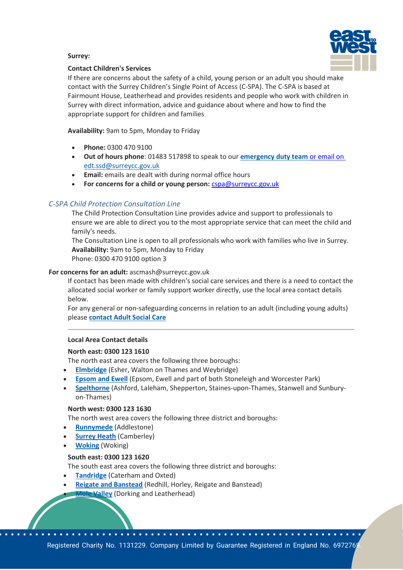

### **Surrey:**

### **Contact Children's Services**

If there are concerns about the safety of a child, young person or an adult you should make contact with the Surrey Children's Single Point of Access (C-SPA). The C-SPA is based at Fairmount House, Leatherhead and provides residents and people who work with children in Surrey with direct information, advice and guidance about where and how to find the appropriate support for children and families

**Availability:** 9am to 5pm, Monday to Friday

- **Phone:** 0300 470 9100
- **Out of hours phone**: 01483 517898 to speak to our **[emergency duty team](https://www.surreycc.gov.uk/social-care-and-health/concerned-for-someones-safety/out-of-hours-social-care-contacts)** or email on [edt.ssd@surreycc.gov.uk](mailto:edt.ssd@surreycc.gov.uk)
- **Email:** emails are dealt with during normal office hours
- For concerns for a child or young person: [cspa@surreycc.gov.uk](mailto:cspa@surreycc.gov.uk)

# *C-SPA Child Protection Consultation Line*

The Child Protection Consultation Line provides advice and support to professionals to ensure we are able to direct you to the most appropriate service that can meet the child and family's needs.

The Consultation Line is open to all professionals who work with families who live in Surrey. **Availability:** 9am to 5pm, Monday to Friday Phone: 0300 470 9100 option 3

# **For concerns for an adult:** ascmash@surreycc.gov.uk

If contact has been made with children's social care services and there is a need to contact the allocated social worker or family support worker directly, use the local area contact details below.

For any general or non-safeguarding concerns in relation to an adult (including young adults) please **[contact Adult Social Care](https://www.surreycc.gov.uk/social-care-and-health/care-and-support-for-adults/contact-adult-social-care)**

#### **Local Area Contact details**

#### **North east: 0300 123 1610**

The north east area covers the following three boroughs:

- **[Elmbridge](http://www.elmbridge.gov.uk/)** (Esher, Walton on Thames and Weybridge)
- **[Epsom and Ewell](https://www.epsom-ewell.gov.uk/EEBC)** (Epsom, Ewell and part of both Stoneleigh and Worcester Park)
- **[Spelthorne](https://www.spelthorne.gov.uk/home)** (Ashford, Laleham, Shepperton, Staines-upon-Thames, Stanwell and Sunburyon-Thames)

#### **North west: 0300 123 1630**

The north west area covers the following three district and boroughs:

- **[Runnymede](https://www.runnymede.gov.uk/)** (Addlestone)
- **[Surrey Heath](http://www.surreyheath.gov.uk/)** (Camberley)
- **[Woking](http://www.woking.gov.uk/)** (Woking)

#### **South east: 0300 123 1620**

The south east area covers the following three district and boroughs:

- **[Tandridge](http://www.tandridge.gov.uk/)** (Caterham and Oxted)
- **[Reigate and Banstead](https://www.reigate-banstead.gov.uk/)** (Redhill, Horley, Reigate and Banstead) **Valley** (Dorking and Leatherhead)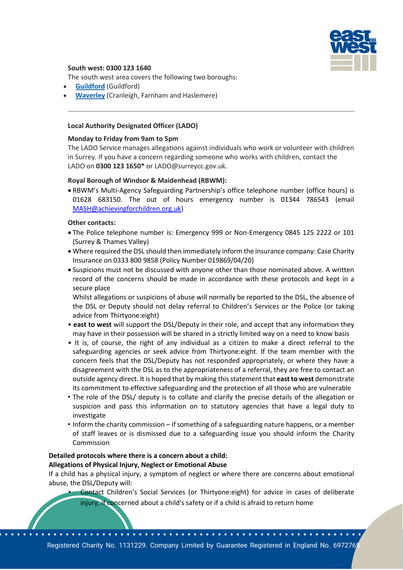

#### **South west: 0300 123 1640**

The south west area covers the following two boroughs:

- **[Guildford](http://www.guildford.gov.uk/)** (Guildford)
- **[Waverley](http://www.waverley.gov.uk/)** (Cranleigh, Farnham and Haslemere)

#### **Local Authority Designated Officer (LADO)**

#### **Monday to Friday from 9am to 5pm**

The LADO Service manages allegations against individuals who work or volunteer with children in Surrey. If you have a concern regarding someone who works with children, contact the LADO on **0300 123 1650\*** or LADO@surreycc.gov.uk.

#### **Royal Borough of Windsor & Maidenhead (RBWM):**

• RBWM's Multi-Agency Safeguarding Partnership's office telephone number (office hours) is 01628 683150. The out of hours emergency number is 01344 786543 (email [MASH@achievingforchildren.org.uk\)](mailto:MASH@achievingforchildren.org.uk)

#### **Other contacts:**

- The Police telephone number is: Emergency 999 or Non-Emergency 0845 125 2222 or 101 (Surrey & Thames Valley)
- Where required the DSL should then immediately inform the insurance company: Case Charity Insurance on 0333 800 9858 (Policy Number 019869/04/20)
- Suspicions must not be discussed with anyone other than those nominated above. A written record of the concerns should be made in accordance with these protocols and kept in a secure place

Whilst allegations or suspicions of abuse will normally be reported to the DSL, the absence of the DSL or Deputy should not delay referral to Children's Services or the Police (or taking advice from Thirtyone:eight)

- **east to west** will support the DSL/Deputy in their role, and accept that any information they may have in their possession will be shared in a strictly limited way on a need to know basis
- It is, of course, the right of any individual as a citizen to make a direct referral to the safeguarding agencies or seek advice from Thirtyone:eight. If the team member with the concern feels that the DSL/Deputy has not responded appropriately, or where they have a disagreement with the DSL as to the appropriateness of a referral, they are free to contact an outside agency direct. It is hoped that by making this statement that **east to west** demonstrate its commitment to effective safeguarding and the protection of all those who are vulnerable
- The role of the DSL/ deputy is to collate and clarify the precise details of the allegation or suspicion and pass this information on to statutory agencies that have a legal duty to investigate
- Inform the charity commission if something of a safeguarding nature happens, or a member of staff leaves or is dismissed due to a safeguarding issue you should inform the Charity Commission

#### **Detailed protocols where there is a concern about a child: Allegations of Physical Injury, Neglect or Emotional Abuse**

If a child has a physical injury, a symptom of neglect or where there are concerns about emotional abuse, the DSL/Deputy will:

Contact Children's Social Services (or Thirtyone:eight) for advice in cases of deliberate injury, if concerned about a child's safety or if a child is afraid to return home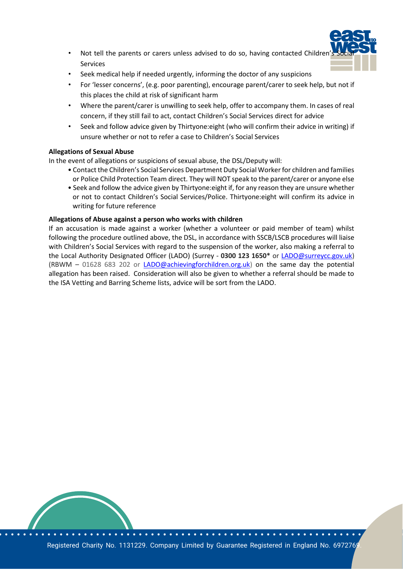

- Not tell the parents or carers unless advised to do so, having contacted Children Services
- Seek medical help if needed urgently, informing the doctor of any suspicions
- For 'lesser concerns', (e.g. poor parenting), encourage parent/carer to seek help, but not if this places the child at risk of significant harm
- Where the parent/carer is unwilling to seek help, offer to accompany them. In cases of real concern, if they still fail to act, contact Children's Social Services direct for advice
- Seek and follow advice given by Thirtyone:eight (who will confirm their advice in writing) if unsure whether or not to refer a case to Children's Social Services

# **Allegations of Sexual Abuse**

In the event of allegations or suspicions of sexual abuse, the DSL/Deputy will:

- Contact the Children's Social Services Department Duty Social Worker for children and families or Police Child Protection Team direct. They will NOT speak to the parent/carer or anyone else
- Seek and follow the advice given by Thirtyone:eight if, for any reason they are unsure whether or not to contact Children's Social Services/Police. Thirtyone:eight will confirm its advice in writing for future reference

# **Allegations of Abuse against a person who works with children**

If an accusation is made against a worker (whether a volunteer or paid member of team) whilst following the procedure outlined above, the DSL, in accordance with SSCB/LSCB procedures will liaise with Children's Social Services with regard to the suspension of the worker, also making a referral to the Local Authority Designated Officer (LADO) (Surrey - **0300 123 1650\*** or [LADO@surreycc.gov.uk\)](mailto:LADO@surreycc.gov.uk) (RBWM – 01628 683 202 or [LADO@achievingforchildren.org.uk\)](mailto:LADO@achievingforchildren.org.uk) on the same day the potential allegation has been raised. Consideration will also be given to whether a referral should be made to the ISA Vetting and Barring Scheme lists, advice will be sort from the LADO.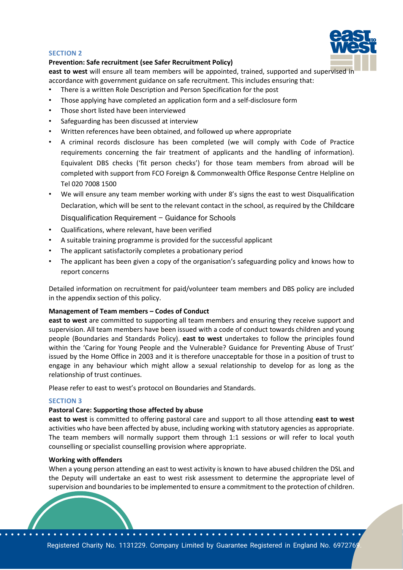#### **SECTION 2**



#### **Prevention: Safe recruitment (see Safer Recruitment Policy)**

**east to west** will ensure all team members will be appointed, trained, supported and supervised in accordance with government guidance on safe recruitment. This includes ensuring that:

- There is a written Role Description and Person Specification for the post
- Those applying have completed an application form and a self-disclosure form
- Those short listed have been interviewed
- Safeguarding has been discussed at interview
- Written references have been obtained, and followed up where appropriate
- A criminal records disclosure has been completed (we will comply with Code of Practice requirements concerning the fair treatment of applicants and the handling of information). Equivalent DBS checks ('fit person checks') for those team members from abroad will be completed with support from FCO Foreign & Commonwealth Office Response Centre Helpline on Tel 020 7008 1500
- We will ensure any team member working with under 8's signs the east to west Disqualification Declaration, which will be sent to the relevant contact in the school, as required by the Childcare Disqualification Requirement – Guidance for Schools
- Qualifications, where relevant, have been verified
- A suitable training programme is provided for the successful applicant
- The applicant satisfactorily completes a probationary period
- The applicant has been given a copy of the organisation's safeguarding policy and knows how to report concerns

Detailed information on recruitment for paid/volunteer team members and DBS policy are included in the appendix section of this policy.

#### **Management of Team members – Codes of Conduct**

**east to west** are committed to supporting all team members and ensuring they receive support and supervision. All team members have been issued with a code of conduct towards children and young people (Boundaries and Standards Policy). **east to west** undertakes to follow the principles found within the 'Caring for Young People and the Vulnerable? Guidance for Preventing Abuse of Trust' issued by the Home Office in 2003 and it is therefore unacceptable for those in a position of trust to engage in any behaviour which might allow a sexual relationship to develop for as long as the relationship of trust continues.

Please refer to east to west's protocol on Boundaries and Standards.

#### **SECTION 3**

#### **Pastoral Care: Supporting those affected by abuse**

**east to west** is committed to offering pastoral care and support to all those attending **east to west**  activities who have been affected by abuse, including working with statutory agencies as appropriate. The team members will normally support them through 1:1 sessions or will refer to local youth counselling or specialist counselling provision where appropriate.

#### **Working with offenders**

When a young person attending an east to west activity is known to have abused children the DSL and the Deputy will undertake an east to west risk assessment to determine the appropriate level of supervision and boundaries to be implemented to ensure a commitment to the protection of children.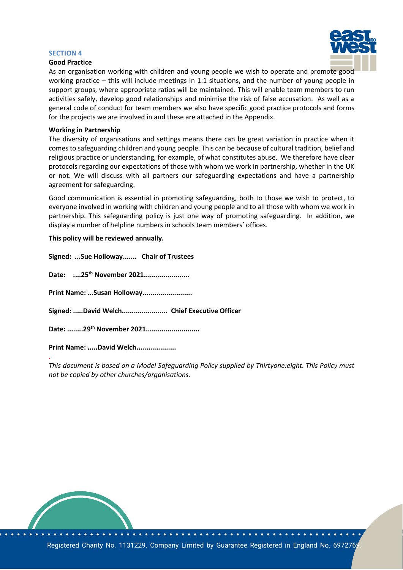#### **SECTION 4**





As an organisation working with children and young people we wish to operate and promote good working practice – this will include meetings in 1:1 situations, and the number of young people in support groups, where appropriate ratios will be maintained. This will enable team members to run activities safely, develop good relationships and minimise the risk of false accusation. As well as a general code of conduct for team members we also have specific good practice protocols and forms for the projects we are involved in and these are attached in the Appendix.

#### **Working in Partnership**

The diversity of organisations and settings means there can be great variation in practice when it comes to safeguarding children and young people. This can be because of cultural tradition, belief and religious practice or understanding, for example, of what constitutes abuse. We therefore have clear protocols regarding our expectations of those with whom we work in partnership, whether in the UK or not. We will discuss with all partners our safeguarding expectations and have a partnership agreement for safeguarding.

Good communication is essential in promoting safeguarding, both to those we wish to protect, to everyone involved in working with children and young people and to all those with whom we work in partnership. This safeguarding policy is just one way of promoting safeguarding. In addition, we display a number of helpline numbers in schools team members' offices.

#### **This policy will be reviewed annually.**

**Signed: ...Sue Holloway....... Chair of Trustees Date: ....25th November 2021....................... Print Name: ...Susan Holloway......................... Signed: .....David Welch....................... Chief Executive Officer Date: ........29th November 2021........................... Print Name: .....David Welch....................** .

*This document is based on a Model Safeguarding Policy supplied by Thirtyone:eight. This Policy must not be copied by other churches/organisations.*

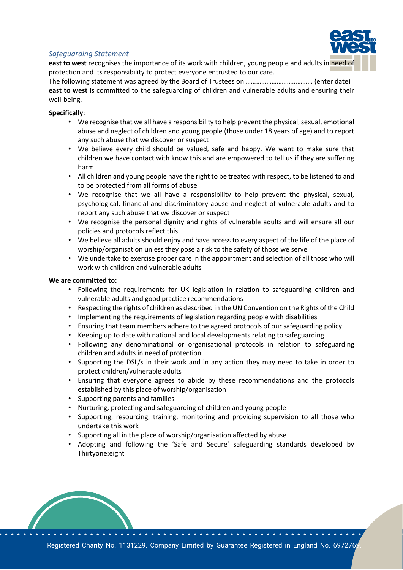

# *Safeguarding Statement*

**east to west** recognises the importance of its work with children, young people and adults in need of protection and its responsibility to protect everyone entrusted to our care.

The following statement was agreed by the Board of Trustees on ………………………………… (enter date) **east to west** is committed to the safeguarding of children and vulnerable adults and ensuring their well-being.

# **Specifically**:

- We recognise that we all have a responsibility to help prevent the physical, sexual, emotional abuse and neglect of children and young people (those under 18 years of age) and to report any such abuse that we discover or suspect
- We believe every child should be valued, safe and happy. We want to make sure that children we have contact with know this and are empowered to tell us if they are suffering harm
- All children and young people have the right to be treated with respect, to be listened to and to be protected from all forms of abuse
- We recognise that we all have a responsibility to help prevent the physical, sexual, psychological, financial and discriminatory abuse and neglect of vulnerable adults and to report any such abuse that we discover or suspect
- We recognise the personal dignity and rights of vulnerable adults and will ensure all our policies and protocols reflect this
- We believe all adults should enjoy and have access to every aspect of the life of the place of worship/organisation unless they pose a risk to the safety of those we serve
- We undertake to exercise proper care in the appointment and selection of all those who will work with children and vulnerable adults

#### **We are committed to:**

- Following the requirements for UK legislation in relation to safeguarding children and vulnerable adults and good practice recommendations
- Respecting the rights of children as described in the UN Convention on the Rights of the Child
- Implementing the requirements of legislation regarding people with disabilities
- Ensuring that team members adhere to the agreed protocols of our safeguarding policy
- Keeping up to date with national and local developments relating to safeguarding
- Following any denominational or organisational protocols in relation to safeguarding children and adults in need of protection
- Supporting the DSL/s in their work and in any action they may need to take in order to protect children/vulnerable adults
- Ensuring that everyone agrees to abide by these recommendations and the protocols established by this place of worship/organisation
- Supporting parents and families
- Nurturing, protecting and safeguarding of children and young people
- Supporting, resourcing, training, monitoring and providing supervision to all those who undertake this work
- Supporting all in the place of worship/organisation affected by abuse
- Adopting and following the 'Safe and Secure' safeguarding standards developed by Thirtyone:eight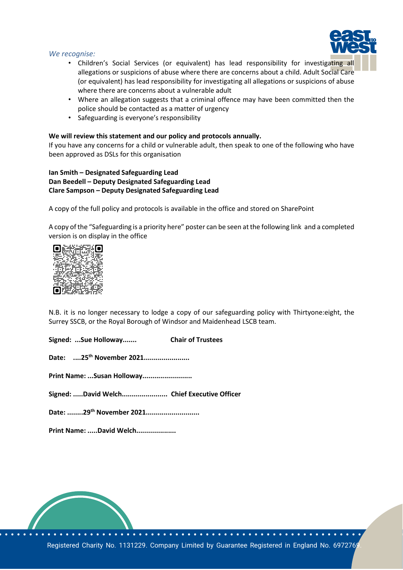#### *We recognise:*

- Children's Social Services (or equivalent) has lead responsibility for investigating all allegations or suspicions of abuse where there are concerns about a child. Adult Social Care (or equivalent) has lead responsibility for investigating all allegations or suspicions of abuse where there are concerns about a vulnerable adult
- Where an allegation suggests that a criminal offence may have been committed then the police should be contacted as a matter of urgency
- Safeguarding is everyone's responsibility

#### **We will review this statement and our policy and protocols annually.**

If you have any concerns for a child or vulnerable adult, then speak to one of the following who have been approved as DSLs for this organisation

# **Ian Smith – Designated Safeguarding Lead Dan Beedell – Deputy Designated Safeguarding Lead Clare Sampson – Deputy Designated Safeguarding Lead**

A copy of the full policy and protocols is available in the office and stored on SharePoint

A copy of the "Safeguarding is a priority here" poster can be seen at the following link and a completed version is on display in the office



N.B. it is no longer necessary to lodge a copy of our safeguarding policy with Thirtyone:eight, the Surrey SSCB, or the Royal Borough of Windsor and Maidenhead LSCB team.

**Signed: ...Sue Holloway....... Chair of Trustees**

**Date: ....25th November 2021.......................** 

**Print Name: ...Susan Holloway.........................**

**Signed: .....David Welch....................... Chief Executive Officer**

**Date: ........29th November 2021...........................**

**Print Name: .....David Welch....................**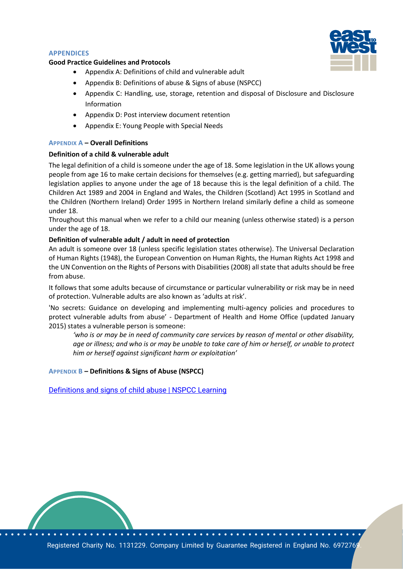#### **APPENDICES**

#### **Good Practice Guidelines and Protocols**



- Appendix A: Definitions of child and vulnerable adult
- Appendix B: Definitions of abuse & Signs of abuse (NSPCC)
- Appendix C: Handling, use, storage, retention and disposal of Disclosure and Disclosure Information
- Appendix D: Post interview document retention
- Appendix E: Young People with Special Needs

#### **APPENDIX A – Overall Definitions**

#### **Definition of a child & vulnerable adult**

The legal definition of a child is someone under the age of 18. Some legislation in the UK allows young people from age 16 to make certain decisions for themselves (e.g. getting married), but safeguarding legislation applies to anyone under the age of 18 because this is the legal definition of a child. The Children Act 1989 and 2004 in England and Wales, the Children (Scotland) Act 1995 in Scotland and the Children (Northern Ireland) Order 1995 in Northern Ireland similarly define a child as someone under 18.

Throughout this manual when we refer to a child our meaning (unless otherwise stated) is a person under the age of 18.

#### **Definition of vulnerable adult / adult in need of protection**

An adult is someone over 18 (unless specific legislation states otherwise). The Universal Declaration of Human Rights (1948), the European Convention on Human Rights, the Human Rights Act 1998 and the UN Convention on the Rights of Persons with Disabilities (2008) all state that adults should be free from abuse.

It follows that some adults because of circumstance or particular vulnerability or risk may be in need of protection. Vulnerable adults are also known as 'adults at risk'.

'No secrets: Guidance on developing and implementing multi-agency policies and procedures to protect vulnerable adults from abuse' - Department of Health and Home Office (updated January 2015) states a vulnerable person is someone:

*'who is or may be in need of community care services by reason of mental or other disability, age or illness; and who is or may be unable to take care of him or herself, or unable to protect him or herself against significant harm or exploitation'*

#### **APPENDIX B – Definitions & Signs of Abuse (NSPCC)**

[Definitions and signs of child abuse | NSPCC Learning](https://learning.nspcc.org.uk/research-resources/briefings/definitions-signs-child-abuse)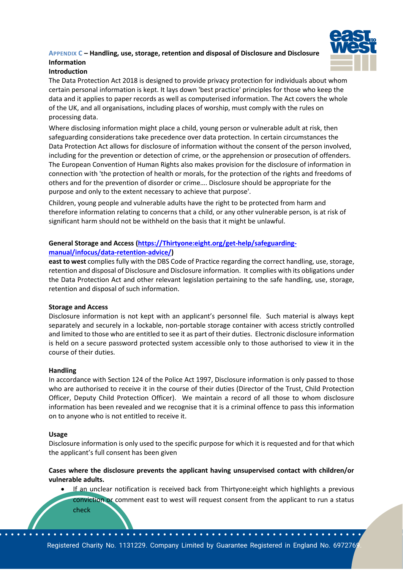# **APPENDIX C – Handling, use, storage, retention and disposal of Disclosure and Disclosure Information**



# **Introduction**

The Data Protection Act 2018 is designed to provide privacy protection for individuals about whom certain personal information is kept. It lays down 'best practice' principles for those who keep the data and it applies to paper records as well as computerised information. The Act covers the whole of the UK, and all organisations, including places of worship, must comply with the rules on processing data.

Where disclosing information might place a child, young person or vulnerable adult at risk, then safeguarding considerations take precedence over data protection. In certain circumstances the Data Protection Act allows for disclosure of information without the consent of the person involved, including for the prevention or detection of crime, or the apprehension or prosecution of offenders. The European Convention of Human Rights also makes provision for the disclosure of information in connection with 'the protection of health or morals, for the protection of the rights and freedoms of others and for the prevention of disorder or crime…. Disclosure should be appropriate for the purpose and only to the extent necessary to achieve that purpose'.

Children, young people and vulnerable adults have the right to be protected from harm and therefore information relating to concerns that a child, or any other vulnerable person, is at risk of significant harm should not be withheld on the basis that it might be unlawful.

# **General Storage and Access [\(https://Thirtyone:eight.org/get-help/safeguarding](https://thirtyoneeight.org/get-help/safeguarding-manual/infocus/data-retention-advice/)[manual/infocus/data-retention-advice/\)](https://thirtyoneeight.org/get-help/safeguarding-manual/infocus/data-retention-advice/)**

**east to west** complies fully with the DBS Code of Practice regarding the correct handling, use, storage, retention and disposal of Disclosure and Disclosure information. It complies with its obligations under the Data Protection Act and other relevant legislation pertaining to the safe handling, use, storage, retention and disposal of such information.

#### **Storage and Access**

Disclosure information is not kept with an applicant's personnel file. Such material is always kept separately and securely in a lockable, non-portable storage container with access strictly controlled and limited to those who are entitled to see it as part of their duties. Electronic disclosure information is held on a secure password protected system accessible only to those authorised to view it in the course of their duties.

#### **Handling**

In accordance with Section 124 of the Police Act 1997, Disclosure information is only passed to those who are authorised to receive it in the course of their duties (Director of the Trust, Child Protection Officer, Deputy Child Protection Officer). We maintain a record of all those to whom disclosure information has been revealed and we recognise that it is a criminal offence to pass this information on to anyone who is not entitled to receive it.

#### **Usage**

Disclosure information is only used to the specific purpose for which it is requested and for that which the applicant's full consent has been given

**Cases where the disclosure prevents the applicant having unsupervised contact with children/or vulnerable adults.**

- If an unclear notification is received back from Thirtyone: eight which highlights a previous conviction or comment east to west will request consent from the applicant to run a status
	- check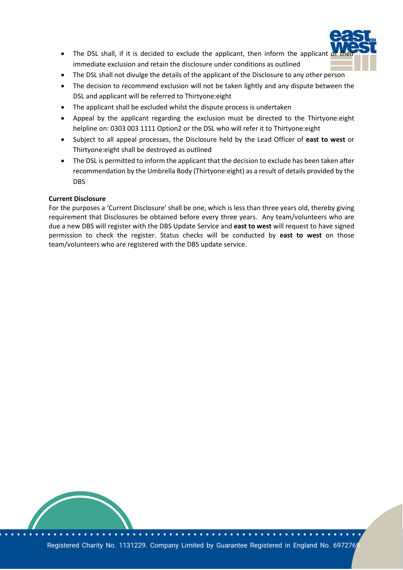

- The DSL shall, if it is decided to exclude the applicant, then inform the applicant immediate exclusion and retain the disclosure under conditions as outlined
- The DSL shall not divulge the details of the applicant of the Disclosure to any other person
- The decision to recommend exclusion will not be taken lightly and any dispute between the DSL and applicant will be referred to Thirtyone:eight
- The applicant shall be excluded whilst the dispute process is undertaken
- Appeal by the applicant regarding the exclusion must be directed to the Thirtyone:eight helpline on: 0303 003 1111 Option2 or the DSL who will refer it to Thirtyone:eight
- Subject to all appeal processes, the Disclosure held by the Lead Officer of **east to west** or Thirtyone:eight shall be destroyed as outlined
- The DSL is permitted to inform the applicant that the decision to exclude has been taken after recommendation by the Umbrella Body (Thirtyone:eight) as a result of details provided by the DBS

#### **Current Disclosure**

For the purposes a 'Current Disclosure' shall be one, which is less than three years old, thereby giving requirement that Disclosures be obtained before every three years. Any team/volunteers who are due a new DBS will register with the DBS Update Service and **east to west** will request to have signed permission to check the register. Status checks will be conducted by **east to west** on those team/volunteers who are registered with the DBS update service.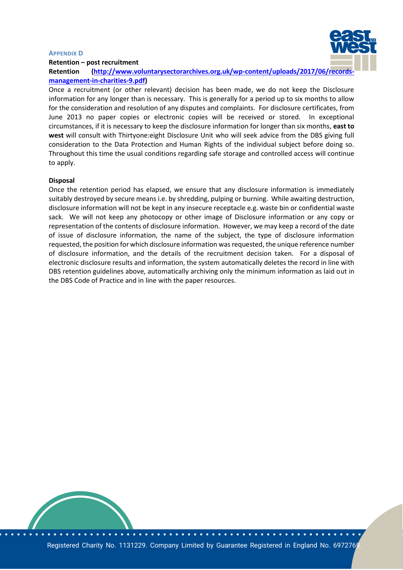#### **APPENDIX D**



#### **Retention – post recruitment**

**Retention [\(http://www.voluntarysectorarchives.org.uk/wp-content/uploads/2017/06/records](http://www.voluntarysectorarchives.org.uk/wp-content/uploads/2017/06/records-management-in-charities-9.pdf)[management-in-charities-9.pdf\)](http://www.voluntarysectorarchives.org.uk/wp-content/uploads/2017/06/records-management-in-charities-9.pdf)**

Once a recruitment (or other relevant) decision has been made, we do not keep the Disclosure information for any longer than is necessary. This is generally for a period up to six months to allow for the consideration and resolution of any disputes and complaints. For disclosure certificates, from June 2013 no paper copies or electronic copies will be received or stored. In exceptional circumstances, if it is necessary to keep the disclosure information for longer than six months, **east to west** will consult with Thirtyone:eight Disclosure Unit who will seek advice from the DBS giving full consideration to the Data Protection and Human Rights of the individual subject before doing so. Throughout this time the usual conditions regarding safe storage and controlled access will continue to apply.

#### **Disposal**

Once the retention period has elapsed, we ensure that any disclosure information is immediately suitably destroyed by secure means i.e. by shredding, pulping or burning. While awaiting destruction, disclosure information will not be kept in any insecure receptacle e.g. waste bin or confidential waste sack. We will not keep any photocopy or other image of Disclosure information or any copy or representation of the contents of disclosure information. However, we may keep a record of the date of issue of disclosure information, the name of the subject, the type of disclosure information requested, the position for which disclosure information was requested, the unique reference number of disclosure information, and the details of the recruitment decision taken. For a disposal of electronic disclosure results and information, the system automatically deletes the record in line with DBS retention guidelines above, automatically archiving only the minimum information as laid out in the DBS Code of Practice and in line with the paper resources.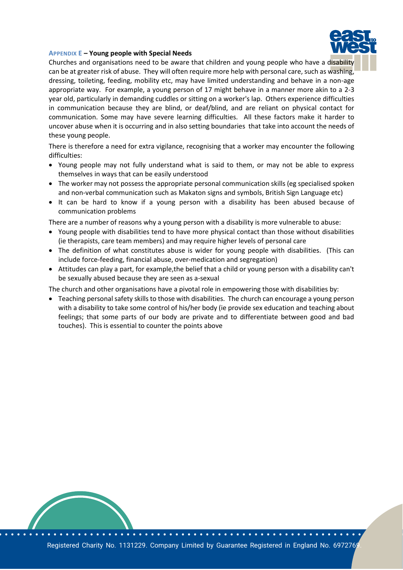

#### **APPENDIX E – Young people with Special Needs**

Churches and organisations need to be aware that children and young people who have a disability can be at greater risk of abuse. They will often require more help with personal care, such as washing, dressing, toileting, feeding, mobility etc, may have limited understanding and behave in a non-age appropriate way. For example, a young person of 17 might behave in a manner more akin to a 2-3 year old, particularly in demanding cuddles or sitting on a worker's lap. Others experience difficulties in communication because they are blind, or deaf/blind, and are reliant on physical contact for communication. Some may have severe learning difficulties. All these factors make it harder to uncover abuse when it is occurring and in also setting boundaries that take into account the needs of these young people.

There is therefore a need for extra vigilance, recognising that a worker may encounter the following difficulties:

- Young people may not fully understand what is said to them, or may not be able to express themselves in ways that can be easily understood
- The worker may not possess the appropriate personal communication skills (eg specialised spoken and non-verbal communication such as Makaton signs and symbols, British Sign Language etc)
- It can be hard to know if a young person with a disability has been abused because of communication problems

There are a number of reasons why a young person with a disability is more vulnerable to abuse:

- Young people with disabilities tend to have more physical contact than those without disabilities (ie therapists, care team members) and may require higher levels of personal care
- The definition of what constitutes abuse is wider for young people with disabilities. (This can include force-feeding, financial abuse, over-medication and segregation)
- Attitudes can play a part, for example,the belief that a child or young person with a disability can't be sexually abused because they are seen as a-sexual

The church and other organisations have a pivotal role in empowering those with disabilities by:

• Teaching personal safety skills to those with disabilities. The church can encourage a young person with a disability to take some control of his/her body (ie provide sex education and teaching about feelings; that some parts of our body are private and to differentiate between good and bad touches). This is essential to counter the points above